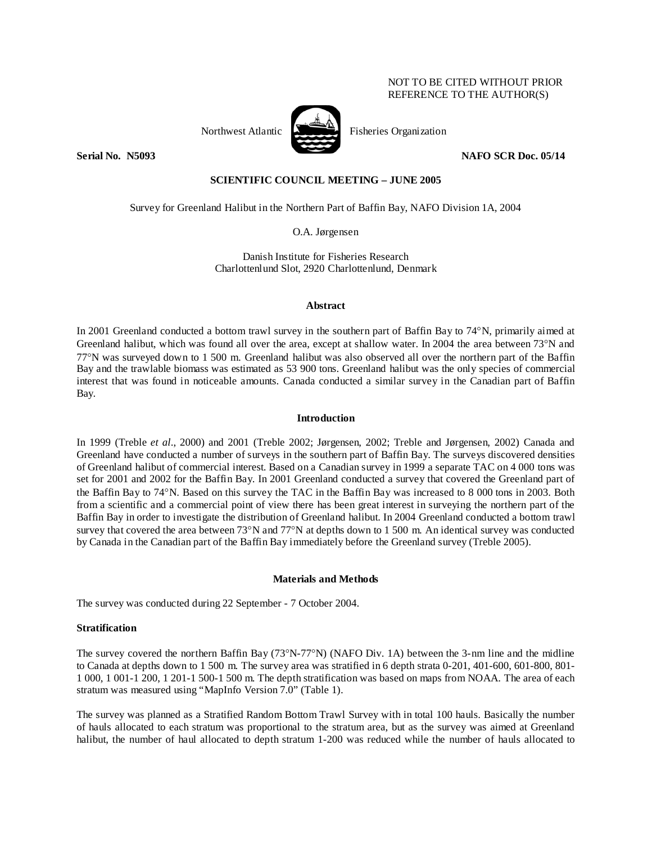# NOT TO BE CITED WITHOUT PRIOR REFERENCE TO THE AUTHOR(S)



Northwest Atlantic **No. 1989** Fisheries Organization

**Serial No. 35093** NAFO SCR Doc. 05/14

# **SCIENTIFIC COUNCIL MEETING – JUNE 2005**

Survey for Greenland Halibut in the Northern Part of Baffin Bay, NAFO Division 1A, 2004

O.A. Jørgensen

Danish Institute for Fisheries Research Charlottenlund Slot, 2920 Charlottenlund, Denmark

# **Abstract**

In 2001 Greenland conducted a bottom trawl survey in the southern part of Baffin Bay to 74°N, primarily aimed at Greenland halibut, which was found all over the area, except at shallow water. In 2004 the area between 73°N and 77°N was surveyed down to 1 500 m. Greenland halibut was also observed all over the northern part of the Baffin Bay and the trawlable biomass was estimated as 53 900 tons. Greenland halibut was the only species of commercial interest that was found in noticeable amounts. Canada conducted a similar survey in the Canadian part of Baffin Bay.

# **Introduction**

In 1999 (Treble *et al*., 2000) and 2001 (Treble 2002; Jørgensen, 2002; Treble and Jørgensen, 2002) Canada and Greenland have conducted a number of surveys in the southern part of Baffin Bay. The surveys discovered densities of Greenland halibut of commercial interest. Based on a Canadian survey in 1999 a separate TAC on 4 000 tons was set for 2001 and 2002 for the Baffin Bay. In 2001 Greenland conducted a survey that covered the Greenland part of the Baffin Bay to 74°N. Based on this survey the TAC in the Baffin Bay was increased to 8 000 tons in 2003. Both from a scientific and a commercial point of view there has been great interest in surveying the northern part of the Baffin Bay in order to investigate the distribution of Greenland halibut. In 2004 Greenland conducted a bottom trawl survey that covered the area between 73°N and 77°N at depths down to 1 500 m. An identical survey was conducted by Canada in the Canadian part of the Baffin Bay immediately before the Greenland survey (Treble 2005).

# **Materials and Methods**

The survey was conducted during 22 September - 7 October 2004.

# **Stratification**

The survey covered the northern Baffin Bay (73°N-77°N) (NAFO Div. 1A) between the 3-nm line and the midline to Canada at depths down to 1 500 m. The survey area was stratified in 6 depth strata 0-201, 401-600, 601-800, 801- 1 000, 1 001-1 200, 1 201-1 500-1 500 m. The depth stratification was based on maps from NOAA. The area of each stratum was measured using "MapInfo Version 7.0" (Table 1).

The survey was planned as a Stratified Random Bottom Trawl Survey with in total 100 hauls. Basically the number of hauls allocated to each stratum was proportional to the stratum area, but as the survey was aimed at Greenland halibut, the number of haul allocated to depth stratum 1-200 was reduced while the number of hauls allocated to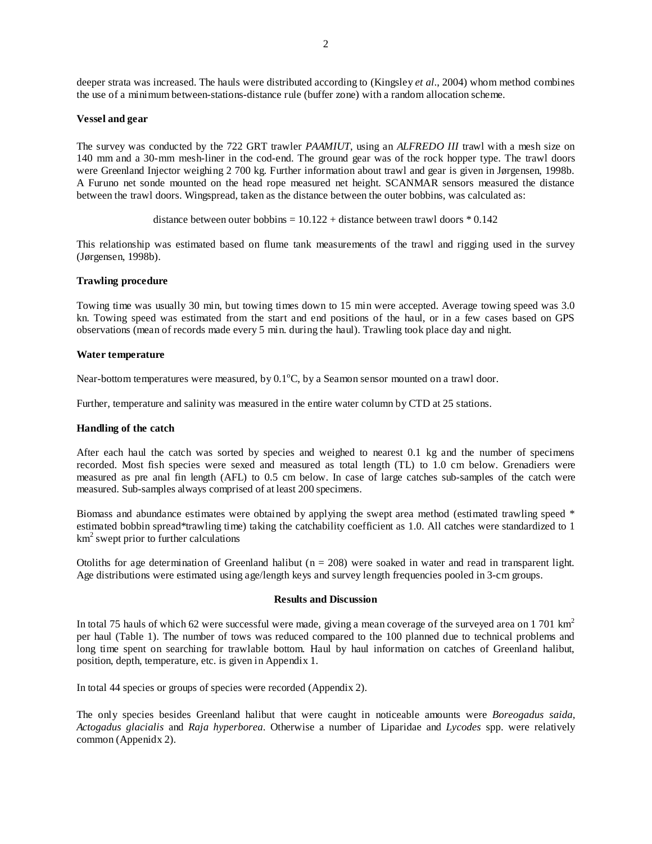deeper strata was increased. The hauls were distributed according to (Kingsley *et al*., 2004) whom method combines the use of a minimum between-stations-distance rule (buffer zone) with a random allocation scheme.

### **Vessel and gear**

The survey was conducted by the 722 GRT trawler *PAAMIUT*, using an *ALFREDO III* trawl with a mesh size on 140 mm and a 30-mm mesh-liner in the cod-end. The ground gear was of the rock hopper type. The trawl doors were Greenland Injector weighing 2 700 kg. Further information about trawl and gear is given in Jørgensen, 1998b. A Furuno net sonde mounted on the head rope measured net height. SCANMAR sensors measured the distance between the trawl doors. Wingspread, taken as the distance between the outer bobbins, was calculated as:

distance between outer bobbins =  $10.122 +$  distance between trawl doors  $* 0.142$ 

This relationship was estimated based on flume tank measurements of the trawl and rigging used in the survey (Jørgensen, 1998b).

# **Trawling procedure**

Towing time was usually 30 min, but towing times down to 15 min were accepted. Average towing speed was 3.0 kn. Towing speed was estimated from the start and end positions of the haul, or in a few cases based on GPS observations (mean of records made every 5 min. during the haul). Trawling took place day and night.

### **Water temperature**

Near-bottom temperatures were measured, by  $0.1^{\circ}$ C, by a Seamon sensor mounted on a trawl door.

Further, temperature and salinity was measured in the entire water column by CTD at 25 stations.

# **Handling of the catch**

After each haul the catch was sorted by species and weighed to nearest 0.1 kg and the number of specimens recorded. Most fish species were sexed and measured as total length (TL) to 1.0 cm below. Grenadiers were measured as pre anal fin length (AFL) to 0.5 cm below. In case of large catches sub-samples of the catch were measured. Sub-samples always comprised of at least 200 specimens.

Biomass and abundance estimates were obtained by applying the swept area method (estimated trawling speed \* estimated bobbin spread\*trawling time) taking the catchability coefficient as 1.0. All catches were standardized to 1 km2 swept prior to further calculations

Otoliths for age determination of Greenland halibut ( $n = 208$ ) were soaked in water and read in transparent light. Age distributions were estimated using age/length keys and survey length frequencies pooled in 3-cm groups.

# **Results and Discussion**

In total 75 hauls of which 62 were successful were made, giving a mean coverage of the surveyed area on 1701  $km<sup>2</sup>$ per haul (Table 1). The number of tows was reduced compared to the 100 planned due to technical problems and long time spent on searching for trawlable bottom. Haul by haul information on catches of Greenland halibut, position, depth, temperature, etc. is given in Appendix 1.

In total 44 species or groups of species were recorded (Appendix 2).

The only species besides Greenland halibut that were caught in noticeable amounts were *Boreogadus saida, Actogadus glacialis* and *Raja hyperborea*. Otherwise a number of Liparidae and *Lycodes* spp. were relatively common (Appenidx 2).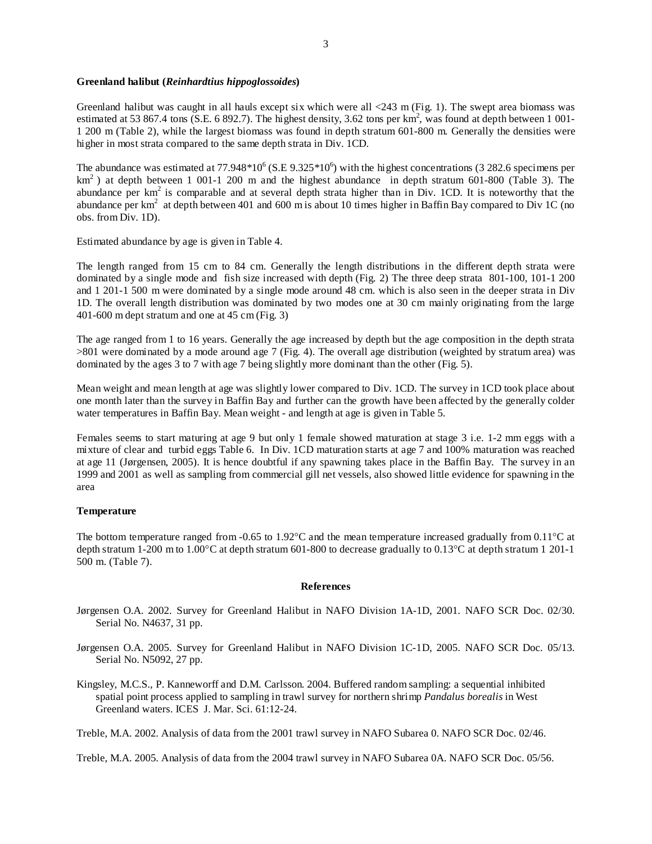### **Greenland halibut (***Reinhardtius hippoglossoides***)**

Greenland halibut was caught in all hauls except six which were all <243 m (Fig. 1). The swept area biomass was estimated at 53 867.4 tons (S.E. 6 892.7). The highest density, 3.62 tons per  $km^2$ , was found at depth between 1 001-1 200 m (Table 2), while the largest biomass was found in depth stratum 601-800 m. Generally the densities were higher in most strata compared to the same depth strata in Div. 1CD.

The abundance was estimated at 77.948\*10<sup>6</sup> (S.E 9.325\*10<sup>6</sup>) with the highest concentrations (3 282.6 specimens per  $km<sup>2</sup>$ ) at depth between 1 001-1 200 m and the highest abundance in depth stratum 601-800 (Table 3). The abundance per  $km^2$  is comparable and at several depth strata higher than in Div. 1CD. It is noteworthy that the abundance per  $km^2$  at depth between 401 and 600 m is about 10 times higher in Baffin Bay compared to Div 1C (no obs. from Div. 1D).

Estimated abundance by age is given in Table 4.

The length ranged from 15 cm to 84 cm. Generally the length distributions in the different depth strata were dominated by a single mode and fish size increased with depth (Fig. 2) The three deep strata 801-100, 101-1 200 and 1 201-1 500 m were dominated by a single mode around 48 cm. which is also seen in the deeper strata in Div 1D. The overall length distribution was dominated by two modes one at 30 cm mainly originating from the large 401-600 m dept stratum and one at 45 cm (Fig. 3)

The age ranged from 1 to 16 years. Generally the age increased by depth but the age composition in the depth strata >801 were dominated by a mode around age 7 (Fig. 4). The overall age distribution (weighted by stratum area) was dominated by the ages 3 to 7 with age 7 being slightly more dominant than the other (Fig. 5).

Mean weight and mean length at age was slightly lower compared to Div. 1CD. The survey in 1CD took place about one month later than the survey in Baffin Bay and further can the growth have been affected by the generally colder water temperatures in Baffin Bay. Mean weight - and length at age is given in Table 5.

Females seems to start maturing at age 9 but only 1 female showed maturation at stage 3 i.e. 1-2 mm eggs with a mixture of clear and turbid eggs Table 6. In Div. 1CD maturation starts at age 7 and 100% maturation was reached at age 11 (Jørgensen, 2005). It is hence doubtful if any spawning takes place in the Baffin Bay. The survey in an 1999 and 2001 as well as sampling from commercial gill net vessels, also showed little evidence for spawning in the area

#### **Temperature**

The bottom temperature ranged from -0.65 to 1.92°C and the mean temperature increased gradually from 0.11°C at depth stratum 1-200 m to 1.00°C at depth stratum 601-800 to decrease gradually to 0.13°C at depth stratum 1 201-1 500 m. (Table 7).

# **References**

- Jørgensen O.A. 2002. Survey for Greenland Halibut in NAFO Division 1A-1D, 2001. NAFO SCR Doc. 02/30. Serial No. N4637, 31 pp.
- Jørgensen O.A. 2005. Survey for Greenland Halibut in NAFO Division 1C-1D, 2005. NAFO SCR Doc. 05/13. Serial No. N5092, 27 pp.
- Kingsley, M.C.S., P. Kanneworff and D.M. Carlsson. 2004. Buffered random sampling: a sequential inhibited spatial point process applied to sampling in trawl survey for northern shrimp *Pandalus borealis* in West Greenland waters. ICES J. Mar. Sci. 61:12-24.

Treble, M.A. 2002. Analysis of data from the 2001 trawl survey in NAFO Subarea 0. NAFO SCR Doc. 02/46.

Treble, M.A. 2005. Analysis of data from the 2004 trawl survey in NAFO Subarea 0A. NAFO SCR Doc. 05/56.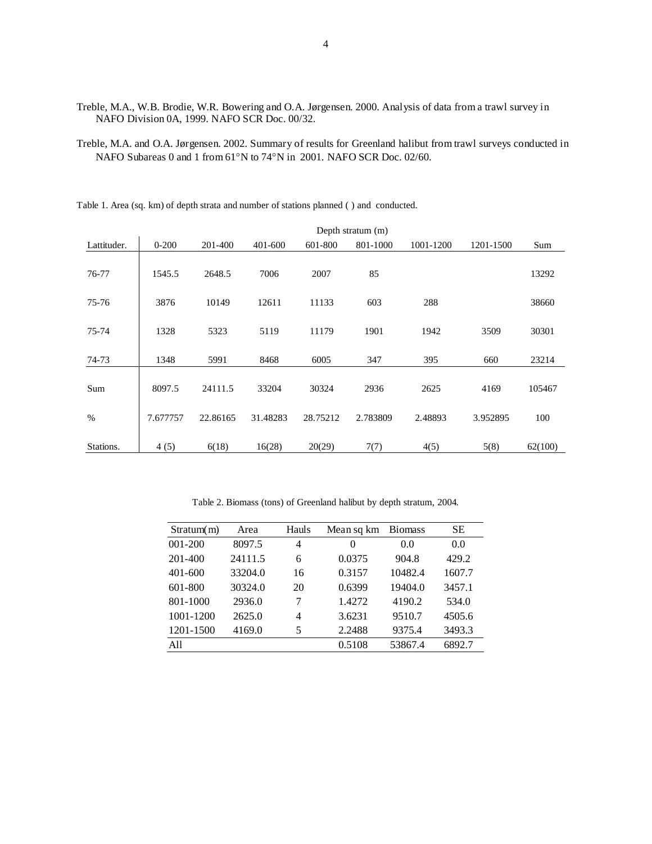- Treble, M.A., W.B. Brodie, W.R. Bowering and O.A. Jørgensen. 2000. Analysis of data from a trawl survey in NAFO Division 0A, 1999. NAFO SCR Doc. 00/32.
- Treble, M.A. and O.A. Jørgensen. 2002. Summary of results for Greenland halibut from trawl surveys conducted in NAFO Subareas 0 and 1 from 61°N to 74°N in 2001. NAFO SCR Doc. 02/60.

Table 1. Area (sq. km) of depth strata and number of stations planned ( ) and conducted.

| Depth stratum (m) |           |          |          |          |          |           |           |         |
|-------------------|-----------|----------|----------|----------|----------|-----------|-----------|---------|
| Lattituder.       | $0 - 200$ | 201-400  | 401-600  | 601-800  | 801-1000 | 1001-1200 | 1201-1500 | Sum     |
|                   |           |          |          |          |          |           |           |         |
| 76-77             | 1545.5    | 2648.5   | 7006     | 2007     | 85       |           |           | 13292   |
|                   |           |          |          |          |          |           |           |         |
| 75-76             | 3876      | 10149    | 12611    | 11133    | 603      | 288       |           | 38660   |
| 75-74             | 1328      | 5323     | 5119     | 11179    | 1901     | 1942      | 3509      | 30301   |
|                   |           |          |          |          |          |           |           |         |
| 74-73             | 1348      | 5991     | 8468     | 6005     | 347      | 395       | 660       | 23214   |
|                   |           |          |          |          |          |           |           |         |
| Sum               | 8097.5    | 24111.5  | 33204    | 30324    | 2936     | 2625      | 4169      | 105467  |
|                   |           |          |          |          |          |           |           |         |
| $\%$              | 7.677757  | 22.86165 | 31.48283 | 28.75212 | 2.783809 | 2.48893   | 3.952895  | 100     |
| Stations.         | 4(5)      | 6(18)    | 16(28)   | 20(29)   | 7(7)     | 4(5)      | 5(8)      | 62(100) |
|                   |           |          |          |          |          |           |           |         |

Table 2. Biomass (tons) of Greenland halibut by depth stratum, 2004.

| Stratum(m)  | Area    | Hauls | Mean sq km | <b>Biomass</b> | <b>SE</b> |
|-------------|---------|-------|------------|----------------|-----------|
| $001 - 200$ | 8097.5  | 4     | 0          | 0.0            | 0.0       |
| 201-400     | 24111.5 | 6     | 0.0375     | 904.8          | 429.2     |
| $401 - 600$ | 33204.0 | 16    | 0.3157     | 10482.4        | 1607.7    |
| $601 - 800$ | 30324.0 | 20    | 0.6399     | 19404.0        | 3457.1    |
| 801-1000    | 2936.0  |       | 1.4272     | 4190.2         | 534.0     |
| 1001-1200   | 2625.0  | 4     | 3.6231     | 9510.7         | 4505.6    |
| 1201-1500   | 4169.0  | 5     | 2.2488     | 9375.4         | 3493.3    |
| A11         |         |       | 0.5108     | 53867.4        | 6892.7    |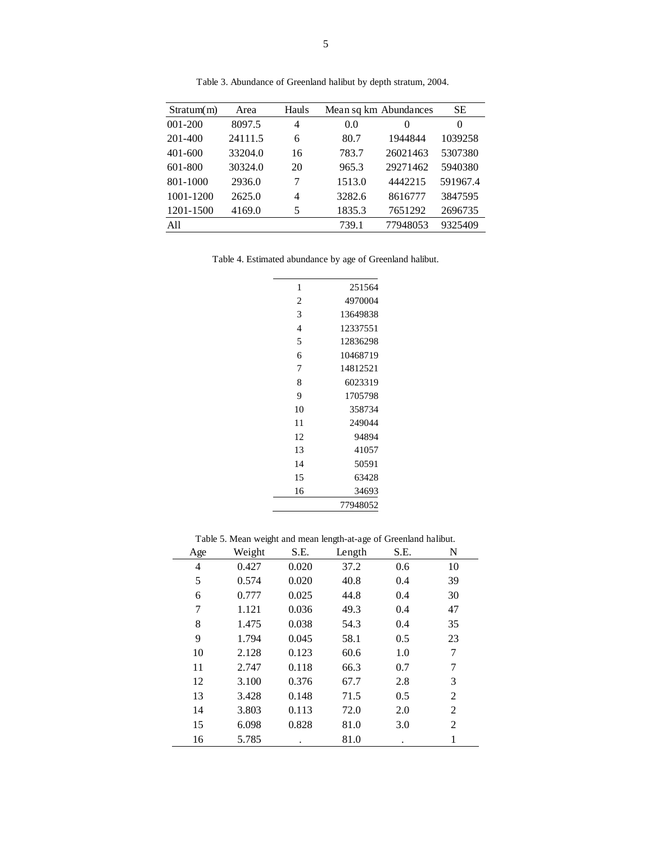| Stratum(m)  | Area    | Hauls |        | Mean sq km Abundances | SE.      |
|-------------|---------|-------|--------|-----------------------|----------|
| 001-200     | 8097.5  | 4     | 0.0    | 0                     | 0        |
| 201-400     | 24111.5 | 6     | 80.7   | 1944844               | 1039258  |
| $401 - 600$ | 33204.0 | 16    | 783.7  | 26021463              | 5307380  |
| $601 - 800$ | 30324.0 | 20    | 965.3  | 29271462              | 5940380  |
| 801-1000    | 2936.0  | 7     | 1513.0 | 4442215               | 591967.4 |
| 1001-1200   | 2625.0  | 4     | 3282.6 | 8616777               | 3847595  |
| 1201-1500   | 4169.0  | 5     | 1835.3 | 7651292               | 2696735  |
| A11         |         |       | 739.1  | 77948053              | 9325409  |

Table 3. Abundance of Greenland halibut by depth stratum, 2004.

Table 4. Estimated abundance by age of Greenland halibut.

| 1              | 251564   |
|----------------|----------|
| $\overline{c}$ | 4970004  |
| 3              | 13649838 |
| 4              | 12337551 |
| 5              | 12836298 |
| 6              | 10468719 |
| 7              | 14812521 |
| 8              | 6023319  |
| 9              | 1705798  |
| 10             | 358734   |
| 11             | 249044   |
| 12             | 94894    |
| 13             | 41057    |
| 14             | 50591    |
| 15             | 63428    |
| 16             | 34693    |
|                | 77948052 |

Table 5. Mean weight and mean length-at-age of Greenland halibut.

| Age | Weight | S.E.  | Length | S.E. | N  |
|-----|--------|-------|--------|------|----|
| 4   | 0.427  | 0.020 | 37.2   | 0.6  | 10 |
| 5   | 0.574  | 0.020 | 40.8   | 0.4  | 39 |
| 6   | 0.777  | 0.025 | 44.8   | 0.4  | 30 |
| 7   | 1.121  | 0.036 | 49.3   | 0.4  | 47 |
| 8   | 1.475  | 0.038 | 54.3   | 0.4  | 35 |
| 9   | 1.794  | 0.045 | 58.1   | 0.5  | 23 |
| 10  | 2.128  | 0.123 | 60.6   | 1.0  | 7  |
| 11  | 2.747  | 0.118 | 66.3   | 0.7  | 7  |
| 12  | 3.100  | 0.376 | 67.7   | 2.8  | 3  |
| 13  | 3.428  | 0.148 | 71.5   | 0.5  | 2  |
| 14  | 3.803  | 0.113 | 72.0   | 2.0  | 2  |
| 15  | 6.098  | 0.828 | 81.0   | 3.0  | 2  |
| 16  | 5.785  |       | 81.0   |      |    |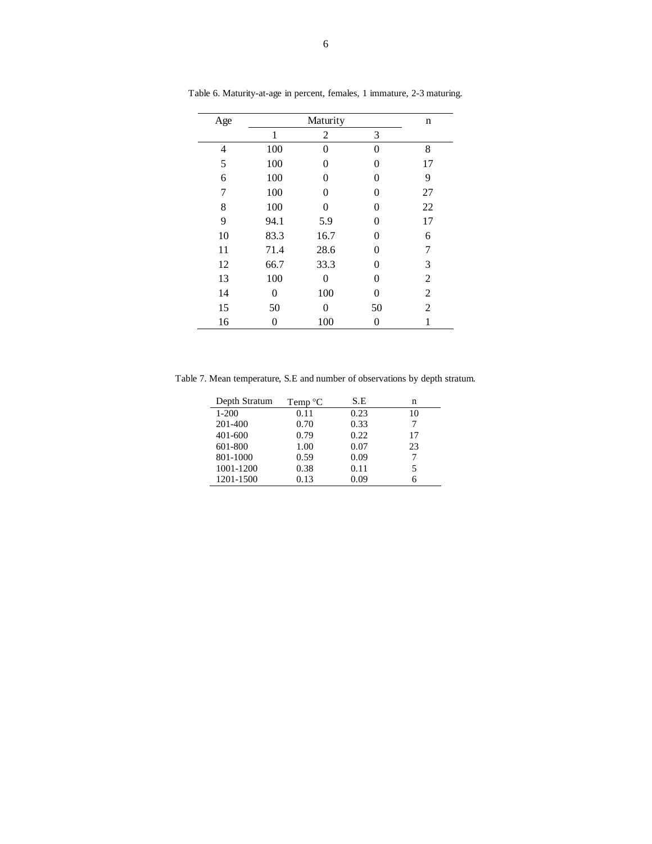| Age |      | n        |    |    |
|-----|------|----------|----|----|
|     | 1    | 2        | 3  |    |
| 4   | 100  | 0        | 0  | 8  |
| 5   | 100  | 0        | 0  | 17 |
| 6   | 100  | 0        | 0  | 9  |
| 7   | 100  | 0        | 0  | 27 |
| 8   | 100  | $\Omega$ | 0  | 22 |
| 9   | 94.1 | 5.9      | 0  | 17 |
| 10  | 83.3 | 16.7     | 0  | 6  |
| 11  | 71.4 | 28.6     | 0  | 7  |
| 12  | 66.7 | 33.3     | 0  | 3  |
| 13  | 100  | 0        | 0  | 2  |
| 14  | 0    | 100      | 0  | 2  |
| 15  | 50   | 0        | 50 | 2  |
| 16  | 0    | 100      | 0  |    |

Table 6. Maturity-at-age in percent, females, 1 immature, 2-3 maturing.

Table 7. Mean temperature, S.E and number of observations by depth stratum.

| Depth Stratum | Temp $\mathrm{^{\circ}C}$ | S.E  | n  |
|---------------|---------------------------|------|----|
| $1-200$       | 0.11                      | 0.23 | 10 |
| 201-400       | 0.70                      | 0.33 |    |
| 401-600       | 0.79                      | 0.22 | 17 |
| 601-800       | 1.00                      | 0.07 | 23 |
| 801-1000      | 0.59                      | 0.09 |    |
| 1001-1200     | 0.38                      | 0.11 | 5  |
| 1201-1500     | 0.13                      | 0.09 |    |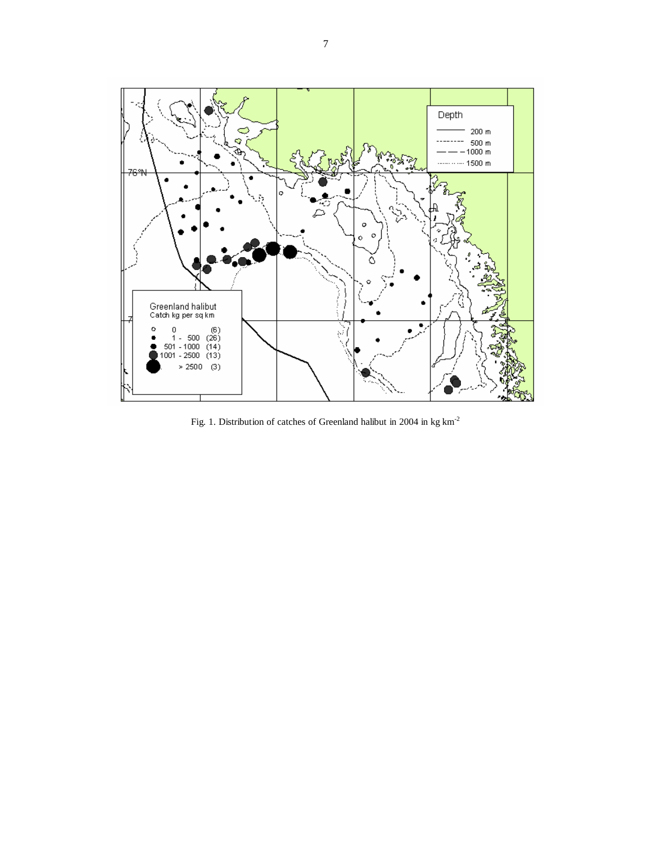

Fig. 1. Distribution of catches of Greenland halibut in 2004 in  $\text{kg}\:\text{km}^{\text{-2}}$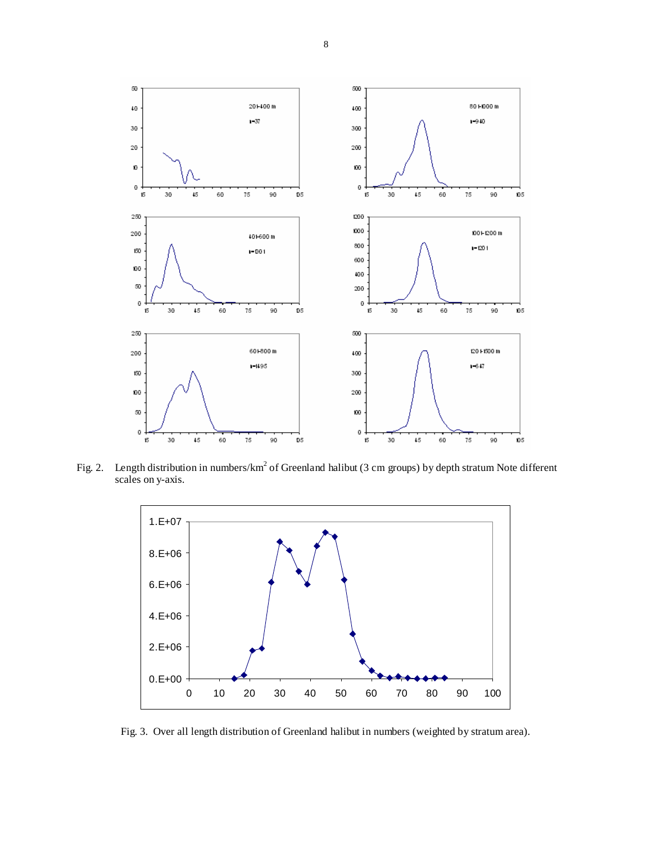

Fig. 2. Length distribution in numbers/km<sup>2</sup> of Greenland halibut (3 cm groups) by depth stratum Note different scales on y-axis.



Fig. 3. Over all length distribution of Greenland halibut in numbers (weighted by stratum area).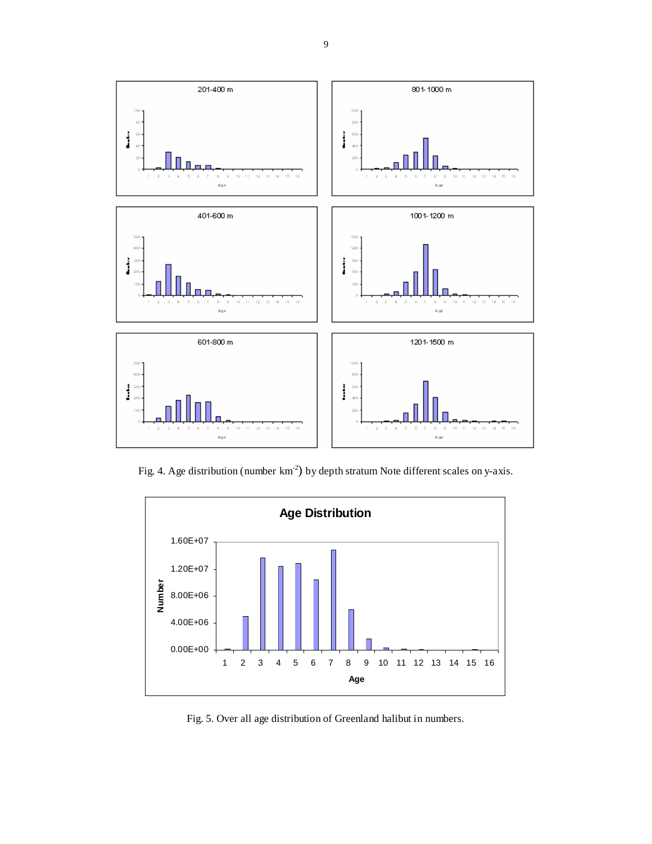

Fig. 4. Age distribution (number km<sup>-2</sup>) by depth stratum Note different scales on y-axis.



Fig. 5. Over all age distribution of Greenland halibut in numbers.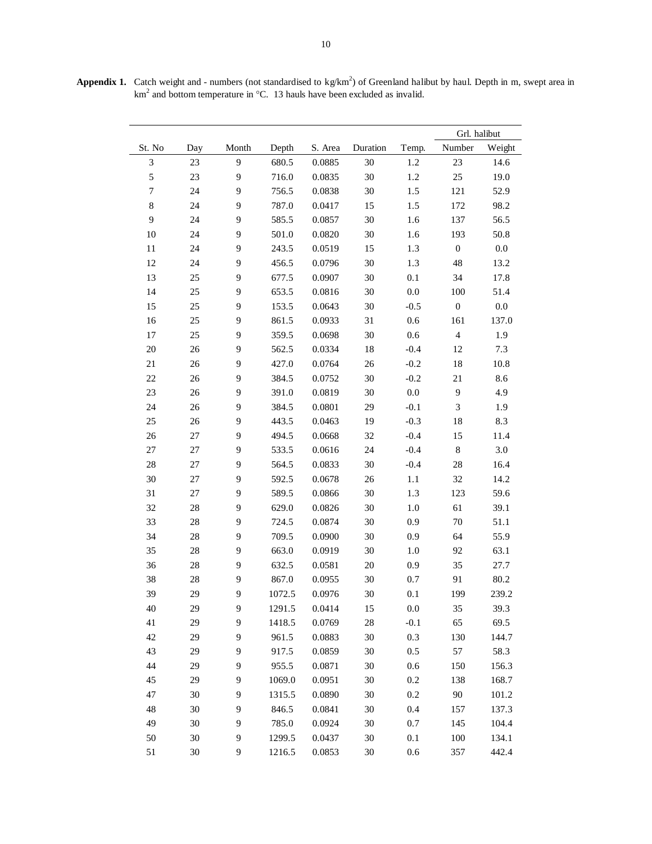|                  |        |                  |        | Grl. halibut |          |         |                             |         |
|------------------|--------|------------------|--------|--------------|----------|---------|-----------------------------|---------|
| St. No           | Day    | Month            | Depth  | S. Area      | Duration | Temp.   | Number                      | Weight  |
| $\mathfrak{Z}$   | 23     | $\overline{9}$   | 680.5  | 0.0885       | 30       | 1.2     | 23                          | 14.6    |
| 5                | 23     | 9                | 716.0  | 0.0835       | 30       | 1.2     | 25                          | 19.0    |
| $\boldsymbol{7}$ | 24     | $\mathbf{9}$     | 756.5  | 0.0838       | 30       | 1.5     | 121                         | 52.9    |
| $\,8\,$          | 24     | 9                | 787.0  | 0.0417       | 15       | 1.5     | 172                         | 98.2    |
| 9                | 24     | 9                | 585.5  | 0.0857       | 30       | 1.6     | 137                         | 56.5    |
| 10               | 24     | $\boldsymbol{9}$ | 501.0  | 0.0820       | 30       | 1.6     | 193                         | 50.8    |
| 11               | 24     | $\overline{9}$   | 243.5  | 0.0519       | 15       | 1.3     | $\boldsymbol{0}$            | $0.0\,$ |
| 12               | 24     | 9                | 456.5  | 0.0796       | 30       | 1.3     | 48                          | 13.2    |
| 13               | 25     | 9                | 677.5  | 0.0907       | 30       | 0.1     | 34                          | 17.8    |
| 14               | 25     | 9                | 653.5  | 0.0816       | 30       | 0.0     | 100                         | 51.4    |
| 15               | 25     | $\mathbf{9}$     | 153.5  | 0.0643       | 30       | $-0.5$  | $\boldsymbol{0}$            | $0.0\,$ |
| 16               | 25     | 9                | 861.5  | 0.0933       | 31       | 0.6     | 161                         | 137.0   |
| 17               | 25     | 9                | 359.5  | 0.0698       | 30       | 0.6     | $\overline{\mathbf{4}}$     | 1.9     |
| $20\,$           | 26     | $\boldsymbol{9}$ | 562.5  | 0.0334       | 18       | $-0.4$  | 12                          | 7.3     |
| 21               | 26     | $\overline{9}$   | 427.0  | 0.0764       | 26       | $-0.2$  | 18                          | 10.8    |
| 22               | 26     | 9                | 384.5  | 0.0752       | 30       | $-0.2$  | 21                          | 8.6     |
| $23\,$           | 26     | 9                | 391.0  | 0.0819       | 30       | 0.0     | 9                           | 4.9     |
| 24               | $26\,$ | 9                | 384.5  | 0.0801       | 29       | $-0.1$  | $\ensuremath{\mathfrak{Z}}$ | 1.9     |
| 25               | 26     | $\mathbf{9}$     | 443.5  | 0.0463       | 19       | $-0.3$  | 18                          | 8.3     |
| $26\,$           | $27\,$ | 9                | 494.5  | 0.0668       | 32       | $-0.4$  | 15                          | 11.4    |
| $27\,$           | 27     | 9                | 533.5  | 0.0616       | 24       | $-0.4$  | $\,8\,$                     | 3.0     |
| $28\,$           | 27     | $\mathbf{9}$     | 564.5  | 0.0833       | 30       | $-0.4$  | 28                          | 16.4    |
| $30\,$           | 27     | $\mathbf{9}$     | 592.5  | 0.0678       | 26       | 1.1     | 32                          | 14.2    |
| 31               | 27     | 9                | 589.5  | 0.0866       | 30       | 1.3     | 123                         | 59.6    |
| $32\,$           | 28     | 9                | 629.0  | 0.0826       | 30       | 1.0     | 61                          | 39.1    |
| 33               | 28     | 9                | 724.5  | 0.0874       | 30       | 0.9     | 70                          | 51.1    |
| 34               | 28     | $\mathbf{9}$     | 709.5  | 0.0900       | 30       | 0.9     | 64                          | 55.9    |
| 35               | 28     | 9                | 663.0  | 0.0919       | 30       | 1.0     | 92                          | 63.1    |
| 36               | 28     | 9                | 632.5  | 0.0581       | 20       | 0.9     | 35                          | 27.7    |
| 38               | 28     | 9                | 867.0  | 0.0955       | 30       | 0.7     | 91                          | 80.2    |
| 39               | 29     | 9                | 1072.5 | 0.0976       | 30       | 0.1     | 199                         | 239.2   |
| 40               | 29     | 9                | 1291.5 | 0.0414       | 15       | 0.0     | 35                          | 39.3    |
| 41               | 29     | 9                | 1418.5 | 0.0769       | 28       | $-0.1$  | 65                          | 69.5    |
| 42               | 29     | 9                | 961.5  | 0.0883       | $30\,$   | 0.3     | 130                         | 144.7   |
| 43               | 29     | 9                | 917.5  | 0.0859       | $30\,$   | 0.5     | 57                          | 58.3    |
| 44               | 29     | 9                | 955.5  | 0.0871       | 30       | 0.6     | 150                         | 156.3   |
| 45               | 29     | 9                | 1069.0 | 0.0951       | 30       | 0.2     | 138                         | 168.7   |
| 47               | 30     | $\overline{9}$   | 1315.5 | 0.0890       | 30       | 0.2     | $90\,$                      | 101.2   |
| 48               | 30     | 9                | 846.5  | 0.0841       | $30\,$   | 0.4     | 157                         | 137.3   |
| 49               | 30     | 9                | 785.0  | 0.0924       | 30       | 0.7     | 145                         | 104.4   |
| 50               | 30     | 9                | 1299.5 | 0.0437       | $30\,$   | 0.1     | 100                         | 134.1   |
| 51               | 30     | 9                | 1216.5 | 0.0853       | $30\,$   | $0.6\,$ | 357                         | 442.4   |

Appendix 1. Catch weight and - numbers (not standardised to kg/km<sup>2</sup>) of Greenland halibut by haul. Depth in m, swept area in km<sup>2</sup> and bottom temperature in  $°C$ . 13 hauls have been excluded as invalid.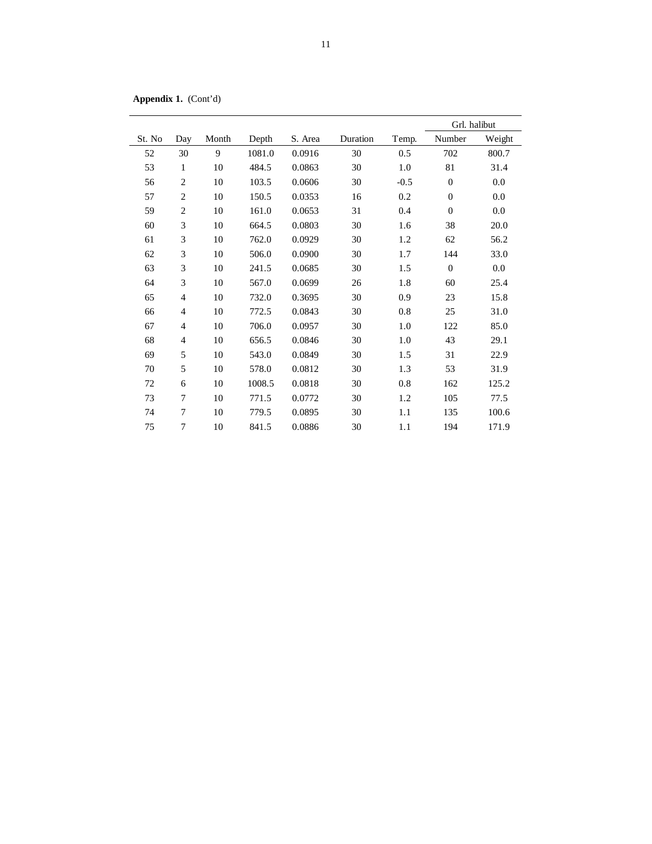**Appendix 1.** (Cont'd)

|        |                             |       |        |         |          |        | Grl. halibut |        |
|--------|-----------------------------|-------|--------|---------|----------|--------|--------------|--------|
| St. No | Day                         | Month | Depth  | S. Area | Duration | Temp.  | Number       | Weight |
| 52     | 30                          | 9     | 1081.0 | 0.0916  | 30       | 0.5    | 702          | 800.7  |
| 53     | $\mathbf{1}$                | 10    | 484.5  | 0.0863  | 30       | 1.0    | 81           | 31.4   |
| 56     | $\overline{c}$              | 10    | 103.5  | 0.0606  | 30       | $-0.5$ | $\mathbf{0}$ | 0.0    |
| 57     | $\overline{2}$              | 10    | 150.5  | 0.0353  | 16       | 0.2    | $\theta$     | 0.0    |
| 59     | $\overline{2}$              | 10    | 161.0  | 0.0653  | 31       | 0.4    | $\theta$     | 0.0    |
| 60     | $\ensuremath{\mathfrak{Z}}$ | 10    | 664.5  | 0.0803  | 30       | 1.6    | 38           | 20.0   |
| 61     | 3                           | 10    | 762.0  | 0.0929  | 30       | 1.2    | 62           | 56.2   |
| 62     | $\ensuremath{\mathfrak{Z}}$ | 10    | 506.0  | 0.0900  | 30       | 1.7    | 144          | 33.0   |
| 63     | 3                           | 10    | 241.5  | 0.0685  | 30       | 1.5    | $\mathbf{0}$ | 0.0    |
| 64     | 3                           | 10    | 567.0  | 0.0699  | 26       | 1.8    | 60           | 25.4   |
| 65     | $\overline{4}$              | 10    | 732.0  | 0.3695  | 30       | 0.9    | 23           | 15.8   |
| 66     | 4                           | 10    | 772.5  | 0.0843  | 30       | 0.8    | 25           | 31.0   |
| 67     | 4                           | 10    | 706.0  | 0.0957  | 30       | 1.0    | 122          | 85.0   |
| 68     | 4                           | 10    | 656.5  | 0.0846  | 30       | 1.0    | 43           | 29.1   |
| 69     | 5                           | 10    | 543.0  | 0.0849  | 30       | 1.5    | 31           | 22.9   |
| 70     | 5                           | 10    | 578.0  | 0.0812  | 30       | 1.3    | 53           | 31.9   |
| 72     | 6                           | 10    | 1008.5 | 0.0818  | 30       | 0.8    | 162          | 125.2  |
| 73     | 7                           | 10    | 771.5  | 0.0772  | 30       | 1.2    | 105          | 77.5   |
| 74     | 7                           | 10    | 779.5  | 0.0895  | 30       | 1.1    | 135          | 100.6  |
| 75     | 7                           | 10    | 841.5  | 0.0886  | 30       | 1.1    | 194          | 171.9  |